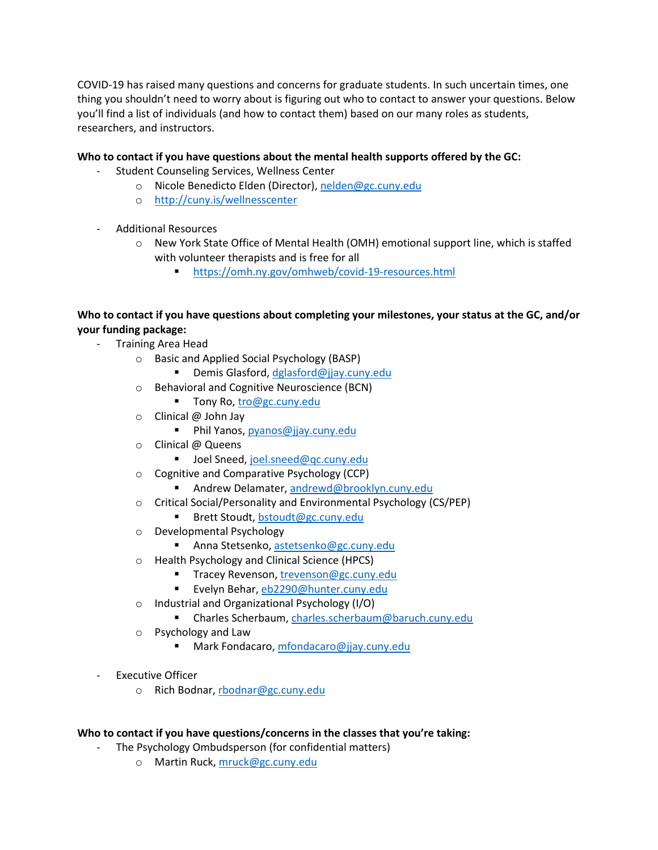COVID-19 has raised many questions and concerns for graduate students. In such uncertain times, one thing you shouldn't need to worry about is figuring out who to contact to answer your questions. Below you'll find a list of individuals (and how to contact them) based on our many roles as students, researchers, and instructors.

## **Who to contact if you have questions about the mental health supports offered by the GC:**

- Student Counseling Services, Wellness Center
	- o Nicole Benedicto Elden (Director), [nelden@gc.cuny.edu](mailto:nelden@gc.cuny.edu)
	- o <http://cuny.is/wellnesscenter>
- Additional Resources
	- o New York State Office of Mental Health (OMH) emotional support line, which is staffed with volunteer therapists and is free for all
		- <https://omh.ny.gov/omhweb/covid-19-resources.html>

# **Who to contact if you have questions about completing your milestones, your status at the GC, and/or your funding package:**

- Training Area Head
	- o Basic and Applied Social Psychology (BASP)
		- Demis Glasford[, dglasford@jjay.cuny.edu](mailto:dglasford@jjay.cuny.edu)
	- o Behavioral and Cognitive Neuroscience (BCN)
		- Tony Ro[, tro@gc.cuny.edu](mailto:tro@gc.cuny.edu)
	- o Clinical @ John Jay
		- Phil Yanos[, pyanos@jjay.cuny.edu](mailto:pyanos@jjay.cuny.edu)
	- o Clinical @ Queens
		- Joel Sneed, joel.sneed@gc.cuny.edu
	- o Cognitive and Comparative Psychology (CCP)
		- Andrew Delamater, [andrewd@brooklyn.cuny.edu](mailto:andrewd@brooklyn.cuny.edu)
	- o Critical Social/Personality and Environmental Psychology (CS/PEP)
		- Brett Stoudt, [bstoudt@gc.cuny.edu](mailto:bstoudt@gc.cuny.edu)
	- o Developmental Psychology
		- Anna Stetsenko, [astetsenko@gc.cuny.edu](mailto:astetsenko@gc.cuny.edu)
	- o Health Psychology and Clinical Science (HPCS)
		- **Tracey Revenson, [trevenson@gc.cuny.edu](mailto:trevenson@gc.cuny.edu)**
		- Evelyn Behar, [eb2290@hunter.cuny.edu](mailto:eb2290@hunter.cuny.edu)
	- o Industrial and Organizational Psychology (I/O)
		- Charles Scherbaum, [charles.scherbaum@baruch.cuny.edu](mailto:charles.scherbaum@baruch.cuny.edu)
	- o Psychology and Law
		- Mark Fondacaro[, mfondacaro@jjay.cuny.edu](mailto:mfondacaro@jjay.cuny.edu)
- Executive Officer
	- o Rich Bodnar, [rbodnar@gc.cuny.edu](mailto:rbodnar@gc.cuny.edu)

#### **Who to contact if you have questions/concerns in the classes that you're taking:**

- The Psychology Ombudsperson (for confidential matters)
	- o Martin Ruck[, mruck@gc.cuny.edu](mailto:mruck@gc.cuny.edu)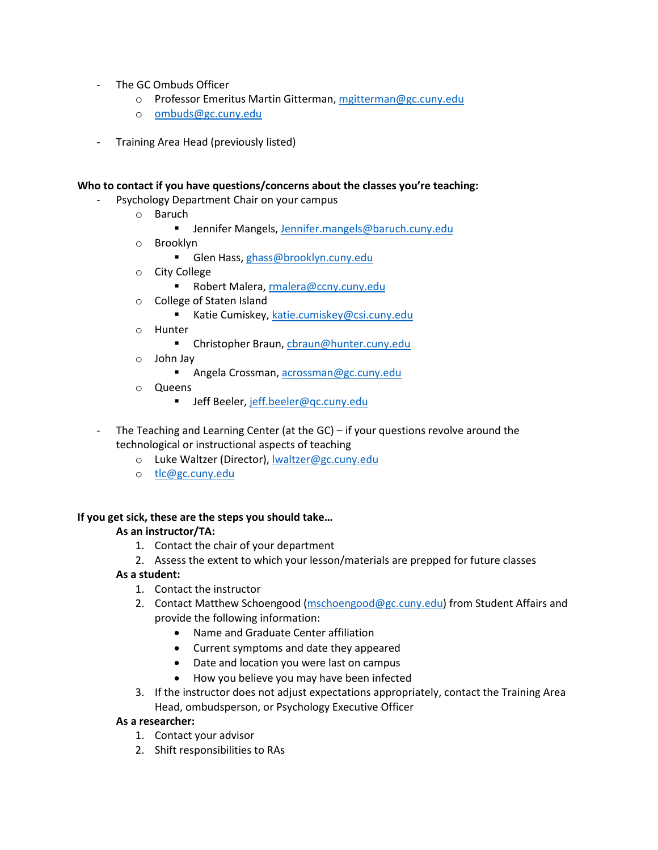- The GC Ombuds Officer
	- o Professor Emeritus Martin Gitterman, [mgitterman@gc.cuny.edu](mailto:mgitterman@gc.cuny.edu)
	- o [ombuds@gc.cuny.edu](mailto:ombuds@gc.cuny.edu)
- Training Area Head (previously listed)

### **Who to contact if you have questions/concerns about the classes you're teaching:**

- Psychology Department Chair on your campus
	- o Baruch
		- **F** Jennifer Mangels, [Jennifer.mangels@baruch.cuny.edu](mailto:Jennifer.mangels@baruch.cuny.edu)
	- o Brooklyn
		- Glen Hass, [ghass@brooklyn.cuny.edu](mailto:ghass@brooklyn.cuny.edu)
	- o City College
		- Robert Malera, [rmalera@ccny.cuny.edu](mailto:rmalera@ccny.cuny.edu)
	- o College of Staten Island
		- Katie Cumiskey, [katie.cumiskey@csi.cuny.edu](mailto:katie.cumiskey@csi.cuny.edu)
	- o Hunter
		- Christopher Braun, [cbraun@hunter.cuny.edu](mailto:cbraun@hunter.cuny.edu)
	- o John Jay
		- **Angela Crossman, [acrossman@gc.cuny.edu](mailto:acrossman@gc.cuny.edu)**
	- o Queens
		- Jeff Beeler, [jeff.beeler@qc.cuny.edu](mailto:jeff.beeler@qc.cuny.edu)
- The Teaching and Learning Center (at the  $GC$ ) if your questions revolve around the technological or instructional aspects of teaching
	- o Luke Waltzer (Director), [lwaltzer@gc.cuny.edu](mailto:lwaltzer@gc.cuny.edu)
	- o [tlc@gc.cuny.edu](mailto:tlc@gc.cuny.edu)

#### **If you get sick, these are the steps you should take…**

#### **As an instructor/TA:**

- 1. Contact the chair of your department
- 2. Assess the extent to which your lesson/materials are prepped for future classes

#### **As a student:**

- 1. Contact the instructor
- 2. Contact Matthew Schoengood [\(mschoengood@gc.cuny.edu\)](mailto:mschoengood@gc.cuny.edu) from Student Affairs and provide the following information:
	- Name and Graduate Center affiliation
	- Current symptoms and date they appeared
	- Date and location you were last on campus
	- How you believe you may have been infected
- 3. If the instructor does not adjust expectations appropriately, contact the Training Area Head, ombudsperson, or Psychology Executive Officer

#### **As a researcher:**

- 1. Contact your advisor
- 2. Shift responsibilities to RAs